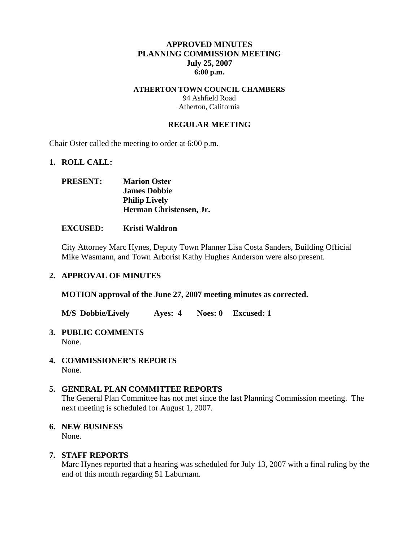### **APPROVED MINUTES PLANNING COMMISSION MEETING July 25, 2007 6:00 p.m.**

### **ATHERTON TOWN COUNCIL CHAMBERS**

94 Ashfield Road Atherton, California

## **REGULAR MEETING**

Chair Oster called the meeting to order at 6:00 p.m.

### **1. ROLL CALL:**

| <b>PRESENT:</b> | <b>Marion Oster</b>     |
|-----------------|-------------------------|
|                 | <b>James Dobbie</b>     |
|                 | <b>Philip Lively</b>    |
|                 | Herman Christensen, Jr. |

#### **EXCUSED: Kristi Waldron**

City Attorney Marc Hynes, Deputy Town Planner Lisa Costa Sanders, Building Official Mike Wasmann, and Town Arborist Kathy Hughes Anderson were also present.

#### **2. APPROVAL OF MINUTES**

**MOTION approval of the June 27, 2007 meeting minutes as corrected.** 

**M/S Dobbie/Lively Ayes: 4 Noes: 0 Excused: 1** 

#### **3. PUBLIC COMMENTS**  None.

**4. COMMISSIONER'S REPORTS**  None.

### **5. GENERAL PLAN COMMITTEE REPORTS**

The General Plan Committee has not met since the last Planning Commission meeting. The next meeting is scheduled for August 1, 2007.

### **6. NEW BUSINESS**

None.

### **7. STAFF REPORTS**

Marc Hynes reported that a hearing was scheduled for July 13, 2007 with a final ruling by the end of this month regarding 51 Laburnam.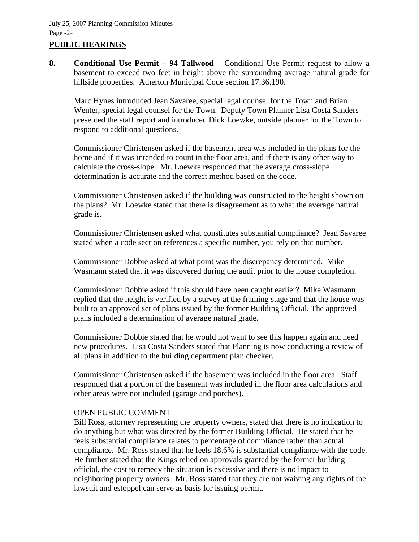## **PUBLIC HEARINGS**

**8. Conditional Use Permit – 94 Tallwood** – Conditional Use Permit request to allow a basement to exceed two feet in height above the surrounding average natural grade for hillside properties. Atherton Municipal Code section 17.36.190.

Marc Hynes introduced Jean Savaree, special legal counsel for the Town and Brian Wenter, special legal counsel for the Town. Deputy Town Planner Lisa Costa Sanders presented the staff report and introduced Dick Loewke, outside planner for the Town to respond to additional questions.

Commissioner Christensen asked if the basement area was included in the plans for the home and if it was intended to count in the floor area, and if there is any other way to calculate the cross-slope. Mr. Loewke responded that the average cross-slope determination is accurate and the correct method based on the code.

Commissioner Christensen asked if the building was constructed to the height shown on the plans? Mr. Loewke stated that there is disagreement as to what the average natural grade is.

Commissioner Christensen asked what constitutes substantial compliance? Jean Savaree stated when a code section references a specific number, you rely on that number.

Commissioner Dobbie asked at what point was the discrepancy determined. Mike Wasmann stated that it was discovered during the audit prior to the house completion.

Commissioner Dobbie asked if this should have been caught earlier? Mike Wasmann replied that the height is verified by a survey at the framing stage and that the house was built to an approved set of plans issued by the former Building Official. The approved plans included a determination of average natural grade.

Commissioner Dobbie stated that he would not want to see this happen again and need new procedures. Lisa Costa Sanders stated that Planning is now conducting a review of all plans in addition to the building department plan checker.

Commissioner Christensen asked if the basement was included in the floor area. Staff responded that a portion of the basement was included in the floor area calculations and other areas were not included (garage and porches).

### OPEN PUBLIC COMMENT

Bill Ross, attorney representing the property owners, stated that there is no indication to do anything but what was directed by the former Building Official. He stated that he feels substantial compliance relates to percentage of compliance rather than actual compliance. Mr. Ross stated that he feels 18.6% is substantial compliance with the code. He further stated that the Kings relied on approvals granted by the former building official, the cost to remedy the situation is excessive and there is no impact to neighboring property owners. Mr. Ross stated that they are not waiving any rights of the lawsuit and estoppel can serve as basis for issuing permit.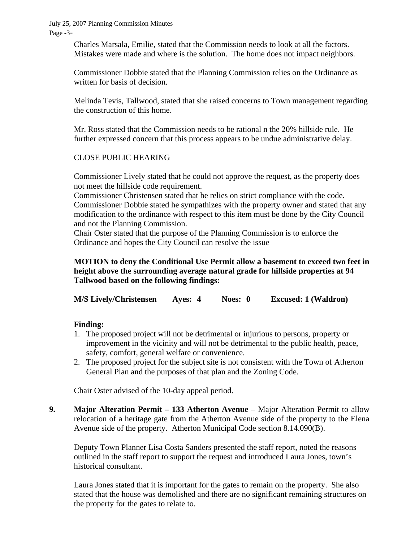July 25, 2007 Planning Commission Minutes Page -3-

> Charles Marsala, Emilie, stated that the Commission needs to look at all the factors. Mistakes were made and where is the solution. The home does not impact neighbors.

> Commissioner Dobbie stated that the Planning Commission relies on the Ordinance as written for basis of decision.

Melinda Tevis, Tallwood, stated that she raised concerns to Town management regarding the construction of this home.

Mr. Ross stated that the Commission needs to be rational n the 20% hillside rule. He further expressed concern that this process appears to be undue administrative delay.

### CLOSE PUBLIC HEARING

Commissioner Lively stated that he could not approve the request, as the property does not meet the hillside code requirement.

Commissioner Christensen stated that he relies on strict compliance with the code. Commissioner Dobbie stated he sympathizes with the property owner and stated that any modification to the ordinance with respect to this item must be done by the City Council and not the Planning Commission.

Chair Oster stated that the purpose of the Planning Commission is to enforce the Ordinance and hopes the City Council can resolve the issue

## **MOTION to deny the Conditional Use Permit allow a basement to exceed two feet in height above the surrounding average natural grade for hillside properties at 94 Tallwood based on the following findings:**

**M/S Lively/Christensen Ayes: 4 Noes: 0 Excused: 1 (Waldron)** 

### **Finding:**

- 1. The proposed project will not be detrimental or injurious to persons, property or improvement in the vicinity and will not be detrimental to the public health, peace, safety, comfort, general welfare or convenience.
- 2. The proposed project for the subject site is not consistent with the Town of Atherton General Plan and the purposes of that plan and the Zoning Code.

Chair Oster advised of the 10-day appeal period.

**9. Major Alteration Permit – 133 Atherton Avenue – Major Alteration Permit to allow** relocation of a heritage gate from the Atherton Avenue side of the property to the Elena Avenue side of the property. Atherton Municipal Code section 8.14.090(B).

Deputy Town Planner Lisa Costa Sanders presented the staff report, noted the reasons outlined in the staff report to support the request and introduced Laura Jones, town's historical consultant.

Laura Jones stated that it is important for the gates to remain on the property. She also stated that the house was demolished and there are no significant remaining structures on the property for the gates to relate to.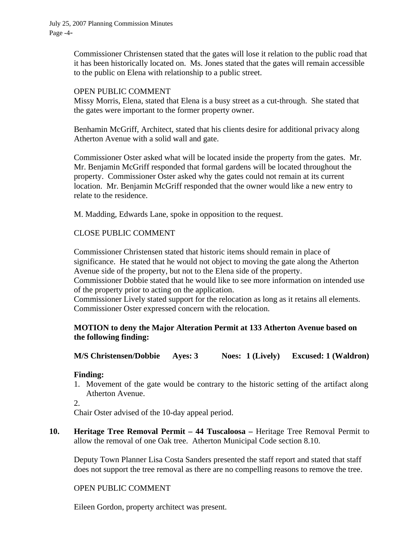July 25, 2007 Planning Commission Minutes Page -4-

> Commissioner Christensen stated that the gates will lose it relation to the public road that it has been historically located on. Ms. Jones stated that the gates will remain accessible to the public on Elena with relationship to a public street.

#### OPEN PUBLIC COMMENT

Missy Morris, Elena, stated that Elena is a busy street as a cut-through. She stated that the gates were important to the former property owner.

Benhamin McGriff, Architect, stated that his clients desire for additional privacy along Atherton Avenue with a solid wall and gate.

Commissioner Oster asked what will be located inside the property from the gates. Mr. Mr. Benjamin McGriff responded that formal gardens will be located throughout the property. Commissioner Oster asked why the gates could not remain at its current location. Mr. Benjamin McGriff responded that the owner would like a new entry to relate to the residence.

M. Madding, Edwards Lane, spoke in opposition to the request.

### CLOSE PUBLIC COMMENT

Commissioner Christensen stated that historic items should remain in place of significance. He stated that he would not object to moving the gate along the Atherton Avenue side of the property, but not to the Elena side of the property.

Commissioner Dobbie stated that he would like to see more information on intended use of the property prior to acting on the application.

Commissioner Lively stated support for the relocation as long as it retains all elements. Commissioner Oster expressed concern with the relocation.

### **MOTION to deny the Major Alteration Permit at 133 Atherton Avenue based on the following finding:**

**M/S Christensen/Dobbie Ayes: 3 Noes: 1 (Lively) Excused: 1 (Waldron)** 

### **Finding:**

1. Movement of the gate would be contrary to the historic setting of the artifact along Atherton Avenue.

2.

Chair Oster advised of the 10-day appeal period.

**10. Heritage Tree Removal Permit – 44 Tuscaloosa –** Heritage Tree Removal Permit to allow the removal of one Oak tree. Atherton Municipal Code section 8.10.

Deputy Town Planner Lisa Costa Sanders presented the staff report and stated that staff does not support the tree removal as there are no compelling reasons to remove the tree.

### OPEN PUBLIC COMMENT

Eileen Gordon, property architect was present.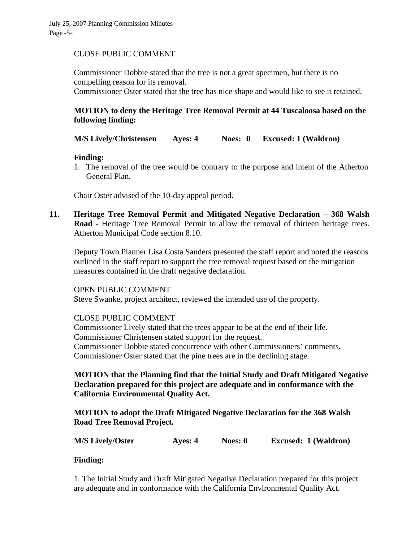### CLOSE PUBLIC COMMENT

Commissioner Dobbie stated that the tree is not a great specimen, but there is no compelling reason for its removal.

Commissioner Oster stated that the tree has nice shape and would like to see it retained.

# **MOTION to deny the Heritage Tree Removal Permit at 44 Tuscaloosa based on the following finding:**

## **M/S Lively/Christensen Ayes: 4 Noes: 0 Excused: 1 (Waldron)**

### **Finding:**

1. The removal of the tree would be contrary to the purpose and intent of the Atherton General Plan.

Chair Oster advised of the 10-day appeal period.

**11. Heritage Tree Removal Permit and Mitigated Negative Declaration – 368 Walsh Road -** Heritage Tree Removal Permit to allow the removal of thirteen heritage trees. Atherton Municipal Code section 8.10.

Deputy Town Planner Lisa Costa Sanders presented the staff report and noted the reasons outlined in the staff report to support the tree removal request based on the mitigation measures contained in the draft negative declaration.

### OPEN PUBLIC COMMENT

Steve Swanke, project architect, reviewed the intended use of the property.

## CLOSE PUBLIC COMMENT

Commissioner Lively stated that the trees appear to be at the end of their life. Commissioner Christensen stated support for the request. Commissioner Dobbie stated concurrence with other Commissioners' comments. Commissioner Oster stated that the pine trees are in the declining stage.

**MOTION that the Planning find that the Initial Study and Draft Mitigated Negative Declaration prepared for this project are adequate and in conformance with the California Environmental Quality Act.** 

**MOTION to adopt the Draft Mitigated Negative Declaration for the 368 Walsh Road Tree Removal Project.** 

**M/S Lively/Oster Ayes: 4 Noes: 0 Excused: 1 (Waldron)** 

### **Finding:**

1. The Initial Study and Draft Mitigated Negative Declaration prepared for this project are adequate and in conformance with the California Environmental Quality Act.